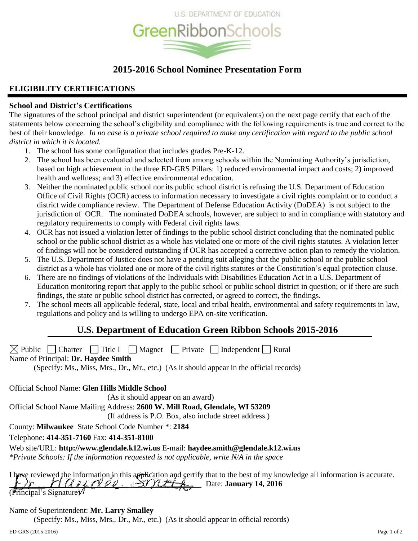

# **2015-2016 School Nominee Presentation Form**

# **ELIGIBILITY CERTIFICATIONS**

# **School and District's Certifications**

The signatures of the school principal and district superintendent (or equivalents) on the next page certify that each of the statements below concerning the school's eligibility and compliance with the following requirements is true and correct to the best of their knowledge. *In no case is a private school required to make any certification with regard to the public school district in which it is located.*

- 1. The school has some configuration that includes grades Pre-K-12.
- 2. The school has been evaluated and selected from among schools within the Nominating Authority's jurisdiction, based on high achievement in the three ED-GRS Pillars: 1) reduced environmental impact and costs; 2) improved health and wellness; and 3) effective environmental education.
- 3. Neither the nominated public school nor its public school district is refusing the U.S. Department of Education Office of Civil Rights (OCR) access to information necessary to investigate a civil rights complaint or to conduct a district wide compliance review. The Department of Defense Education Activity (DoDEA) is not subject to the jurisdiction of OCR. The nominated DoDEA schools, however, are subject to and in compliance with statutory and regulatory requirements to comply with Federal civil rights laws.
- 4. OCR has not issued a violation letter of findings to the public school district concluding that the nominated public school or the public school district as a whole has violated one or more of the civil rights statutes. A violation letter of findings will not be considered outstanding if OCR has accepted a corrective action plan to remedy the violation.
- 5. The U.S. Department of Justice does not have a pending suit alleging that the public school or the public school district as a whole has violated one or more of the civil rights statutes or the Constitution's equal protection clause.
- 6. There are no findings of violations of the Individuals with Disabilities Education Act in a U.S. Department of Education monitoring report that apply to the public school or public school district in question; or if there are such findings, the state or public school district has corrected, or agreed to correct, the findings.
- 7. The school meets all applicable federal, state, local and tribal health, environmental and safety requirements in law, regulations and policy and is willing to undergo EPA on-site verification.

# **U.S. Department of Education Green Ribbon Schools 2015-2016**

 $\boxtimes$  Public Charter Title I Magnet Private Independent Rural

Name of Principal: **Dr. Haydee Smith**

(Specify: Ms., Miss, Mrs., Dr., Mr., etc.) (As it should appear in the official records)

Official School Name: **Glen Hills Middle School**

(As it should appear on an award)

Official School Name Mailing Address: **2600 W. Mill Road, Glendale, WI 53209**

(If address is P.O. Box, also include street address.)

County: **Milwaukee** State School Code Number \*: **2184**

Telephone: **414-351-7160** Fax: **414-351-8100**

Web site/URL: **http://www.glendale.k12.wi.us** E-mail: **haydee.smith@glendale.k12.wi.us** *\*Private Schools: If the information requested is not applicable, write N/A in the space*

I have reviewed the information in this application and certify that to the best of my knowledge all information is accurate.  $HQUALO22 \rightarrow HILO4$  Date: January 14, 2016  $(\overline{\text{Principal's Signature}})$ 

# Name of Superintendent: **Mr. Larry Smalley**

(Specify: Ms., Miss, Mrs., Dr., Mr., etc.) (As it should appear in official records)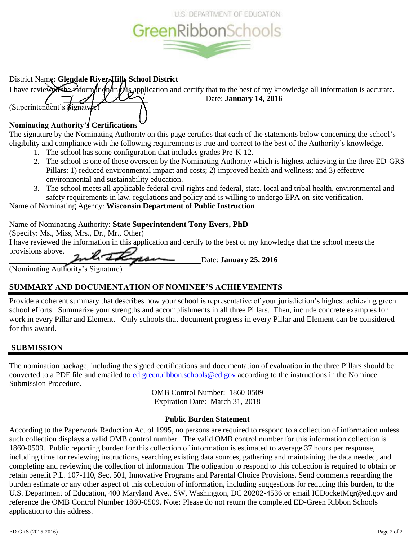

# District Name: **Glendale River-Hills School District**

I have reviewed the information in this application and certify that to the best of my knowledge all information is accurate. Date: **January 14, 2016**

# **Nominating Authority's Certifications**

(Superintendent's  $\beta$ ignature)

The signature by the Nominating Authority on this page certifies that each of the statements below concerning the school's eligibility and compliance with the following requirements is true and correct to the best of the Authority's knowledge.

- 1. The school has some configuration that includes grades Pre-K-12.
- 2. The school is one of those overseen by the Nominating Authority which is highest achieving in the three ED-GRS Pillars: 1) reduced environmental impact and costs; 2) improved health and wellness; and 3) effective environmental and sustainability education.
- 3. The school meets all applicable federal civil rights and federal, state, local and tribal health, environmental and safety requirements in law, regulations and policy and is willing to undergo EPA on-site verification.

Name of Nominating Agency: **Wisconsin Department of Public Instruction**

# Name of Nominating Authority: **State Superintendent Tony Evers, PhD**

(Specify: Ms., Miss, Mrs., Dr., Mr., Other) I have reviewed the information in this application and certify to the best of my knowledge that the school meets the provisions above. Date: **January 25, 2016**

(Nominating Authority's Signature)

# **SUMMARY AND DOCUMENTATION OF NOMINEE'S ACHIEVEMENTS**

Provide a coherent summary that describes how your school is representative of your jurisdiction's highest achieving green school efforts. Summarize your strengths and accomplishments in all three Pillars. Then, include concrete examples for work in every Pillar and Element. Only schools that document progress in every Pillar and Element can be considered for this award.

# **SUBMISSION**

The nomination package, including the signed certifications and documentation of evaluation in the three Pillars should be converted to a PDF file and emailed to [ed.green.ribbon.schools@ed.gov](mailto:ed.green.ribbon.schools@ed.gov) according to the instructions in the Nominee Submission Procedure.

> OMB Control Number: 1860-0509 Expiration Date: March 31, 2018

# **Public Burden Statement**

According to the Paperwork Reduction Act of 1995, no persons are required to respond to a collection of information unless such collection displays a valid OMB control number. The valid OMB control number for this information collection is 1860-0509. Public reporting burden for this collection of information is estimated to average 37 hours per response, including time for reviewing instructions, searching existing data sources, gathering and maintaining the data needed, and completing and reviewing the collection of information. The obligation to respond to this collection is required to obtain or retain benefit P.L. 107-110, Sec. 501, Innovative Programs and Parental Choice Provisions. Send comments regarding the burden estimate or any other aspect of this collection of information, including suggestions for reducing this burden, to the U.S. Department of Education, 400 Maryland Ave., SW, Washington, DC 20202-4536 or email ICDocketMgr@ed.gov and reference the OMB Control Number 1860-0509. Note: Please do not return the completed ED-Green Ribbon Schools application to this address.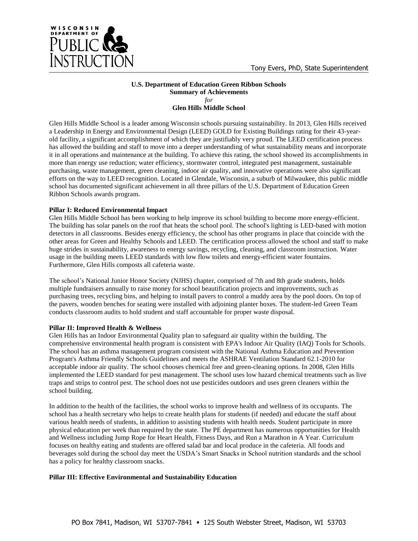

#### **U.S. Department of Education Green Ribbon Schools Summary of Achievements** *for* **Glen Hills Middle School**

Glen Hills Middle School is a leader among Wisconsin schools pursuing sustainability. In 2013, Glen Hills received a Leadership in Energy and Environmental Design (LEED) GOLD for Existing Buildings rating for their 43-yearold facility, a significant accomplishment of which they are justifiably very proud. The LEED certification process has allowed the building and staff to move into a deeper understanding of what sustainability means and incorporate it in all operations and maintenance at the building. To achieve this rating, the school showed its accomplishments in more than energy use reduction; water efficiency, stormwater control, integrated pest management, sustainable purchasing, waste management, green cleaning, indoor air quality, and innovative operations were also significant efforts on the way to LEED recognition. Located in Glendale, Wisconsin, a suburb of Milwaukee, this public middle school has documented significant achievement in all three pillars of the U.S. Department of Education Green Ribbon Schools awards program.

## **Pillar I: Reduced Environmental Impact**

Glen Hills Middle School has been working to help improve its school building to become more energy-efficient. The building has solar panels on the roof that heats the school pool. The school's lighting is LED-based with motion detectors in all classrooms. Besides energy efficiency, the school has other programs in place that coincide with the other areas for Green and Healthy Schools and LEED. The certification process allowed the school and staff to make huge strides in sustainability, awareness to energy savings, recycling, cleaning, and classroom instruction. Water usage in the building meets LEED standards with low flow toilets and energy-efficient water fountains. Furthermore, Glen Hills composts all cafeteria waste.

The school's National Junior Honor Society (NJHS) chapter, comprised of 7th and 8th grade students, holds multiple fundraisers annually to raise money for school beautification projects and improvements, such as purchasing trees, recycling bins, and helping to install pavers to control a muddy area by the pool doors. On top of the pavers, wooden benches for seating were installed with adjoining planter boxes. The student-led Green Team conducts classroom audits to hold student and staff accountable for proper waste disposal.

# **Pillar II: Improved Health & Wellness**

Glen Hills has an Indoor Environmental Quality plan to safeguard air quality within the building. The comprehensive environmental health program is consistent with EPA's Indoor Air Quality (IAQ) Tools for Schools. The school has an asthma management program consistent with the National Asthma Education and Prevention Program's Asthma Friendly Schools Guidelines and meets the ASHRAE Ventilation Standard 62.1-2010 for acceptable indoor air quality. The school chooses chemical free and green-cleaning options. In 2008, Glen Hills implemented the LEED standard for pest management. The school uses low hazard chemical treatments such as live traps and strips to control pest. The school does not use pesticides outdoors and uses green cleaners within the school building.

In addition to the health of the facilities, the school works to improve health and wellness of its occupants. The school has a health secretary who helps to create health plans for students (if needed) and educate the staff about various health needs of students, in addition to assisting students with health needs. Student participate in more physical education per week than required by the state. The PE department has numerous opportunities for Health and Wellness including Jump Rope for Heart Health, Fitness Days, and Run a Marathon in A Year. Curriculum focuses on healthy eating and students are offered salad bar and local produce in the cafeteria. All foods and beverages sold during the school day meet the USDA's Smart Snacks in School nutrition standards and the school has a policy for healthy classroom snacks.

# **Pillar III: Effective Environmental and Sustainability Education**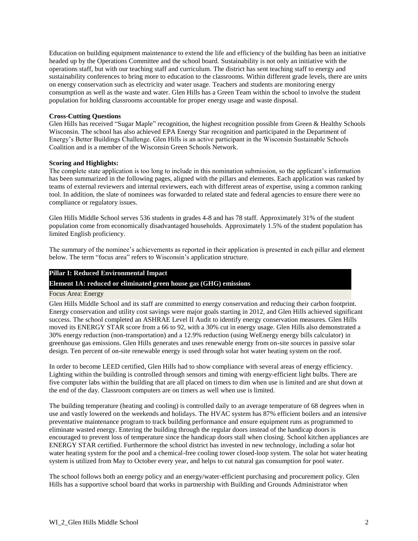Education on building equipment maintenance to extend the life and efficiency of the building has been an initiative headed up by the Operations Committee and the school board. Sustainability is not only an initiative with the operations staff, but with our teaching staff and curriculum. The district has sent teaching staff to energy and sustainability conferences to bring more to education to the classrooms. Within different grade levels, there are units on energy conservation such as electricity and water usage. Teachers and students are monitoring energy consumption as well as the waste and water. Glen Hills has a Green Team within the school to involve the student population for holding classrooms accountable for proper energy usage and waste disposal.

#### **Cross-Cutting Questions**

Glen Hills has received "Sugar Maple" recognition, the highest recognition possible from Green & Healthy Schools Wisconsin. The school has also achieved EPA Energy Star recognition and participated in the Department of Energy's Better Buildings Challenge. Glen Hills is an active participant in the Wisconsin Sustainable Schools Coalition and is a member of the Wisconsin Green Schools Network.

#### **Scoring and Highlights:**

The complete state application is too long to include in this nomination submission, so the applicant's information has been summarized in the following pages, aligned with the pillars and elements. Each application was ranked by teams of external reviewers and internal reviewers, each with different areas of expertise, using a common ranking tool. In addition, the slate of nominees was forwarded to related state and federal agencies to ensure there were no compliance or regulatory issues.

Glen Hills Middle School serves 536 students in grades 4-8 and has 78 staff. Approximately 31% of the student population come from economically disadvantaged households. Approximately 1.5% of the student population has limited English proficiency.

The summary of the nominee's achievements as reported in their application is presented in each pillar and element below. The term "focus area" refers to Wisconsin's application structure.

## **Pillar I: Reduced Environmental Impact**

## **Element 1A: reduced or eliminated green house gas (GHG) emissions**

#### Focus Area: Energy

Glen Hills Middle School and its staff are committed to energy conservation and reducing their carbon footprint. Energy conservation and utility cost savings were major goals starting in 2012, and Glen Hills achieved significant success. The school completed an ASHRAE Level II Audit to identify energy conservation measures. Glen Hills moved its ENERGY STAR score from a 66 to 92, with a 30% cut in energy usage. Glen Hills also demonstrated a 30% energy reduction (non-transportation) and a 12.9% reduction (using WeEnergy energy bills calculator) in greenhouse gas emissions. Glen Hills generates and uses renewable energy from on-site sources in passive solar design. Ten percent of on-site renewable energy is used through solar hot water heating system on the roof.

In order to become LEED certified, Glen Hills had to show compliance with several areas of energy efficiency. Lighting within the building is controlled through sensors and timing with energy-efficient light bulbs. There are five computer labs within the building that are all placed on timers to dim when use is limited and are shut down at the end of the day. Classroom computers are on timers as well when use is limited.

The building temperature (heating and cooling) is controlled daily to an average temperature of 68 degrees when in use and vastly lowered on the weekends and holidays. The HVAC system has 87% efficient boilers and an intensive preventative maintenance program to track building performance and ensure equipment runs as programmed to eliminate wasted energy. Entering the building through the regular doors instead of the handicap doors is encouraged to prevent loss of temperature since the handicap doors stall when closing. School kitchen appliances are ENERGY STAR certified. Furthermore the school district has invested in new technology, including a solar hot water heating system for the pool and a chemical-free cooling tower closed-loop system. The solar hot water heating system is utilized from May to October every year, and helps to cut natural gas consumption for pool water.

The school follows both an energy policy and an energy/water-efficient purchasing and procurement policy. Glen Hills has a supportive school board that works in partnership with Building and Grounds Administrator when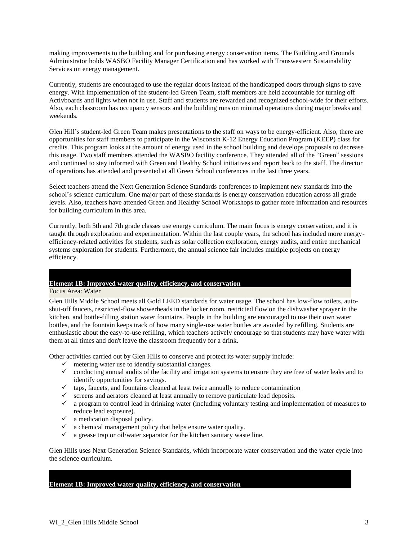making improvements to the building and for purchasing energy conservation items. The Building and Grounds Administrator holds WASBO Facility Manager Certification and has worked with Transwestern Sustainability Services on energy management.

Currently, students are encouraged to use the regular doors instead of the handicapped doors through signs to save energy. With implementation of the student-led Green Team, staff members are held accountable for turning off Activboards and lights when not in use. Staff and students are rewarded and recognized school-wide for their efforts. Also, each classroom has occupancy sensors and the building runs on minimal operations during major breaks and weekends.

Glen Hill's student-led Green Team makes presentations to the staff on ways to be energy-efficient. Also, there are opportunities for staff members to participate in the Wisconsin K-12 Energy Education Program (KEEP) class for credits. This program looks at the amount of energy used in the school building and develops proposals to decrease this usage. Two staff members attended the WASBO facility conference. They attended all of the "Green" sessions and continued to stay informed with Green and Healthy School initiatives and report back to the staff. The director of operations has attended and presented at all Green School conferences in the last three years.

Select teachers attend the Next Generation Science Standards conferences to implement new standards into the school's science curriculum. One major part of these standards is energy conservation education across all grade levels. Also, teachers have attended Green and Healthy School Workshops to gather more information and resources for building curriculum in this area.

Currently, both 5th and 7th grade classes use energy curriculum. The main focus is energy conservation, and it is taught through exploration and experimentation. Within the last couple years, the school has included more energyefficiency-related activities for students, such as solar collection exploration, energy audits, and entire mechanical systems exploration for students. Furthermore, the annual science fair includes multiple projects on energy efficiency.

# **Element 1B: Improved water quality, efficiency, and conservation**

Focus Area: Water

Glen Hills Middle School meets all Gold LEED standards for water usage. The school has low-flow toilets, autoshut-off faucets, restricted-flow showerheads in the locker room, restricted flow on the dishwasher sprayer in the kitchen, and bottle-filling station water fountains. People in the building are encouraged to use their own water bottles, and the fountain keeps track of how many single-use water bottles are avoided by refilling. Students are enthusiastic about the easy-to-use refilling, which teachers actively encourage so that students may have water with them at all times and don't leave the classroom frequently for a drink.

Other activities carried out by Glen Hills to conserve and protect its water supply include:

- $\checkmark$  metering water use to identify substantial changes.
- $\checkmark$  conducting annual audits of the facility and irrigation systems to ensure they are free of water leaks and to identify opportunities for savings.
- $\checkmark$  taps, faucets, and fountains cleaned at least twice annually to reduce contamination
- $\checkmark$  screens and aerators cleaned at least annually to remove particulate lead deposits.
- $\checkmark$  a program to control lead in drinking water (including voluntary testing and implementation of measures to reduce lead exposure).
- $\checkmark$  a medication disposal policy.
- $\checkmark$  a chemical management policy that helps ensure water quality.
- $\checkmark$  a grease trap or oil/water separator for the kitchen sanitary waste line.

Glen Hills uses Next Generation Science Standards, which incorporate water conservation and the water cycle into the science curriculum.

## **Element 1B: Improved water quality, efficiency, and conservation**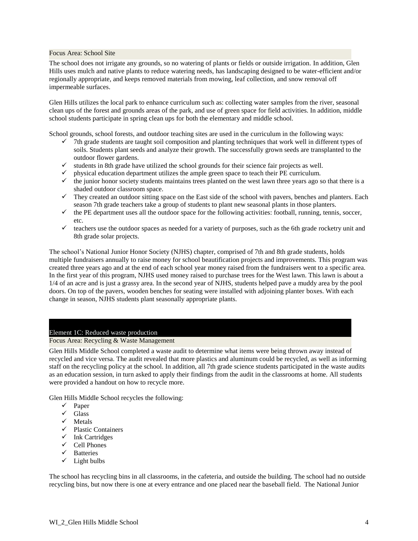Focus Area: School Site

The school does not irrigate any grounds, so no watering of plants or fields or outside irrigation. In addition, Glen Hills uses mulch and native plants to reduce watering needs, has landscaping designed to be water-efficient and/or regionally appropriate, and keeps removed materials from mowing, leaf collection, and snow removal off impermeable surfaces.

Glen Hills utilizes the local park to enhance curriculum such as: collecting water samples from the river, seasonal clean ups of the forest and grounds areas of the park, and use of green space for field activities. In addition, middle school students participate in spring clean ups for both the elementary and middle school.

School grounds, school forests, and outdoor teaching sites are used in the curriculum in the following ways:

- $\checkmark$  7th grade students are taught soil composition and planting techniques that work well in different types of soils. Students plant seeds and analyze their growth. The successfully grown seeds are transplanted to the outdoor flower gardens.
- $\checkmark$  students in 8th grade have utilized the school grounds for their science fair projects as well.
- physical education department utilizes the ample green space to teach their PE curriculum.
- $\checkmark$  the junior honor society students maintains trees planted on the west lawn three years ago so that there is a shaded outdoor classroom space.
- $\checkmark$  They created an outdoor sitting space on the East side of the school with pavers, benches and planters. Each season 7th grade teachers take a group of students to plant new seasonal plants in those planters.
- $\checkmark$  the PE department uses all the outdoor space for the following activities: football, running, tennis, soccer, etc.
- $\checkmark$  teachers use the outdoor spaces as needed for a variety of purposes, such as the 6th grade rocketry unit and 8th grade solar projects.

The school's National Junior Honor Society (NJHS) chapter, comprised of 7th and 8th grade students, holds multiple fundraisers annually to raise money for school beautification projects and improvements. This program was created three years ago and at the end of each school year money raised from the fundraisers went to a specific area. In the first year of this program, NJHS used money raised to purchase trees for the West lawn. This lawn is about a 1/4 of an acre and is just a grassy area. In the second year of NJHS, students helped pave a muddy area by the pool doors. On top of the pavers, wooden benches for seating were installed with adjoining planter boxes. With each change in season, NJHS students plant seasonally appropriate plants.

#### Element 1C: Reduced waste production

Focus Area: Recycling & Waste Management

Glen Hills Middle School completed a waste audit to determine what items were being thrown away instead of recycled and vice versa. The audit revealed that more plastics and aluminum could be recycled, as well as informing staff on the recycling policy at the school. In addition, all 7th grade science students participated in the waste audits as an education session, in turn asked to apply their findings from the audit in the classrooms at home. All students were provided a handout on how to recycle more.

Glen Hills Middle School recycles the following:

- $\checkmark$  Paper
- $\sqrt{\phantom{a}}$  Glass
- $\checkmark$  Metals
- $\checkmark$  Plastic Containers
- $\checkmark$  Ink Cartridges
- $\checkmark$  Cell Phones
- $\checkmark$  Batteries
- $\checkmark$  Light bulbs

The school has recycling bins in all classrooms, in the cafeteria, and outside the building. The school had no outside recycling bins, but now there is one at every entrance and one placed near the baseball field. The National Junior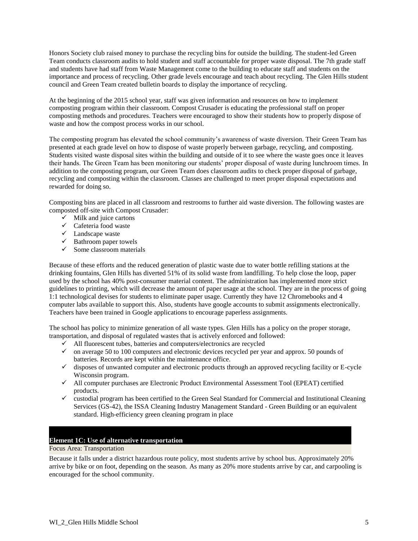Honors Society club raised money to purchase the recycling bins for outside the building. The student-led Green Team conducts classroom audits to hold student and staff accountable for proper waste disposal. The 7th grade staff and students have had staff from Waste Management come to the building to educate staff and students on the importance and process of recycling. Other grade levels encourage and teach about recycling. The Glen Hills student council and Green Team created bulletin boards to display the importance of recycling.

At the beginning of the 2015 school year, staff was given information and resources on how to implement composting program within their classroom. Compost Crusader is educating the professional staff on proper composting methods and procedures. Teachers were encouraged to show their students how to properly dispose of waste and how the compost process works in our school.

The composting program has elevated the school community's awareness of waste diversion. Their Green Team has presented at each grade level on how to dispose of waste properly between garbage, recycling, and composting. Students visited waste disposal sites within the building and outside of it to see where the waste goes once it leaves their hands. The Green Team has been monitoring our students' proper disposal of waste during lunchroom times. In addition to the composting program, our Green Team does classroom audits to check proper disposal of garbage, recycling and composting within the classroom. Classes are challenged to meet proper disposal expectations and rewarded for doing so.

Composting bins are placed in all classroom and restrooms to further aid waste diversion. The following wastes are composted off-site with Compost Crusader:

- $\checkmark$  Milk and juice cartons
- $\checkmark$  Cafeteria food waste
- Landscape waste
- $\checkmark$  Bathroom paper towels
- $\checkmark$  Some classroom materials

Because of these efforts and the reduced generation of plastic waste due to water bottle refilling stations at the drinking fountains, Glen Hills has diverted 51% of its solid waste from landfilling. To help close the loop, paper used by the school has 40% post-consumer material content. The administration has implemented more strict guidelines to printing, which will decrease the amount of paper usage at the school. They are in the process of going 1:1 technological devises for students to eliminate paper usage. Currently they have 12 Chromebooks and 4 computer labs available to support this. Also, students have google accounts to submit assignments electronically. Teachers have been trained in Google applications to encourage paperless assignments.

The school has policy to minimize generation of all waste types. Glen Hills has a policy on the proper storage, transportation, and disposal of regulated wastes that is actively enforced and followed:

- $\checkmark$  All fluorescent tubes, batteries and computers/electronics are recycled
- $\checkmark$  on average 50 to 100 computers and electronic devices recycled per year and approx. 50 pounds of batteries. Records are kept within the maintenance office.
- $\checkmark$  disposes of unwanted computer and electronic products through an approved recycling facility or E-cycle Wisconsin program.
- $\checkmark$  All computer purchases are Electronic Product Environmental Assessment Tool (EPEAT) certified products.
- $\checkmark$  custodial program has been certified to the Green Seal Standard for Commercial and Institutional Cleaning Services (GS-42), the ISSA Cleaning Industry Management Standard - Green Building or an equivalent standard. High-efficiency green cleaning program in place

## **Element 1C: Use of alternative transportation**

## Focus Area: Transportation

Because it falls under a district hazardous route policy, most students arrive by school bus. Approximately 20% arrive by bike or on foot, depending on the season. As many as 20% more students arrive by car, and carpooling is encouraged for the school community.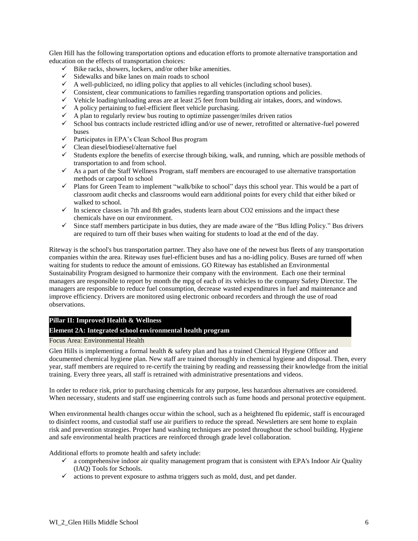Glen Hill has the following transportation options and education efforts to promote alternative transportation and education on the effects of transportation choices:

- $\checkmark$  Bike racks, showers, lockers, and/or other bike amenities.
- $\checkmark$  Sidewalks and bike lanes on main roads to school
- $\checkmark$  A well-publicized, no idling policy that applies to all vehicles (including school buses).
- $\checkmark$  Consistent, clear communications to families regarding transportation options and policies.
- $\checkmark$  Vehicle loading/unloading areas are at least 25 feet from building air intakes, doors, and windows.
- $\checkmark$  A policy pertaining to fuel-efficient fleet vehicle purchasing.
- $\checkmark$  A plan to regularly review bus routing to optimize passenger/miles driven ratios
- $\checkmark$  School bus contracts include restricted idling and/or use of newer, retrofitted or alternative-fuel powered buses
- $\checkmark$  Participates in EPA's Clean School Bus program
- $\checkmark$  Clean diesel/biodiesel/alternative fuel
- $\checkmark$  Students explore the benefits of exercise through biking, walk, and running, which are possible methods of transportation to and from school.
- $\checkmark$  As a part of the Staff Wellness Program, staff members are encouraged to use alternative transportation methods or carpool to school
- $\checkmark$  Plans for Green Team to implement "walk/bike to school" days this school year. This would be a part of classroom audit checks and classrooms would earn additional points for every child that either biked or walked to school.
- $\checkmark$  In science classes in 7th and 8th grades, students learn about CO2 emissions and the impact these chemicals have on our environment.
- $\checkmark$  Since staff members participate in bus duties, they are made aware of the "Bus Idling Policy." Bus drivers are required to turn off their buses when waiting for students to load at the end of the day.

Riteway is the school's bus transportation partner. They also have one of the newest bus fleets of any transportation companies within the area. Riteway uses fuel-efficient buses and has a no-idling policy. Buses are turned off when waiting for students to reduce the amount of emissions. GO Riteway has established an Environmental Sustainability Program designed to harmonize their company with the environment. Each one their terminal managers are responsible to report by month the mpg of each of its vehicles to the company Safety Director. The managers are responsible to reduce fuel consumption, decrease wasted expenditures in fuel and maintenance and improve efficiency. Drivers are monitored using electronic onboard recorders and through the use of road observations.

#### **Pillar II: Improved Health & Wellness**

## **Element 2A: Integrated school environmental health program**

#### Focus Area: Environmental Health

Glen Hills is implementing a formal health & safety plan and has a trained Chemical Hygiene Officer and documented chemical hygiene plan. New staff are trained thoroughly in chemical hygiene and disposal. Then, every year, staff members are required to re-certify the training by reading and reassessing their knowledge from the initial training. Every three years, all staff is retrained with administrative presentations and videos.

In order to reduce risk, prior to purchasing chemicals for any purpose, less hazardous alternatives are considered. When necessary, students and staff use engineering controls such as fume hoods and personal protective equipment.

When environmental health changes occur within the school, such as a heightened flu epidemic, staff is encouraged to disinfect rooms, and custodial staff use air purifiers to reduce the spread. Newsletters are sent home to explain risk and prevention strategies. Proper hand washing techniques are posted throughout the school building. Hygiene and safe environmental health practices are reinforced through grade level collaboration.

Additional efforts to promote health and safety include:

- $\checkmark$  a comprehensive indoor air quality management program that is consistent with EPA's Indoor Air Quality (IAQ) Tools for Schools.
- $\checkmark$  actions to prevent exposure to asthma triggers such as mold, dust, and pet dander.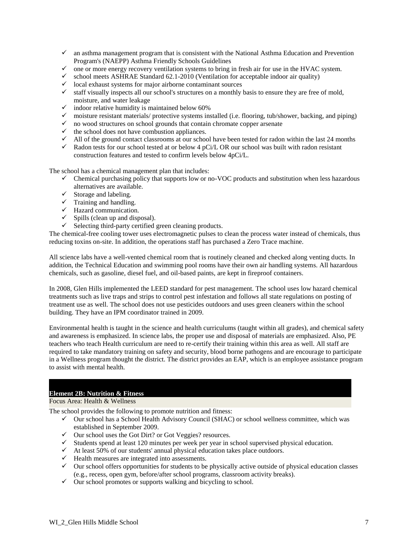- $\checkmark$  an asthma management program that is consistent with the National Asthma Education and Prevention Program's (NAEPP) Asthma Friendly Schools Guidelines
- $\checkmark$  one or more energy recovery ventilation systems to bring in fresh air for use in the HVAC system.
- $\checkmark$  school meets ASHRAE Standard 62.1-2010 (Ventilation for acceptable indoor air quality)
- $\checkmark$  local exhaust systems for major airborne contaminant sources
- $\checkmark$  staff visually inspects all our school's structures on a monthly basis to ensure they are free of mold, moisture, and water leakage
- $\checkmark$  indoor relative humidity is maintained below 60%
- $\checkmark$  moisture resistant materials/ protective systems installed (i.e. flooring, tub/shower, backing, and piping)
- $\checkmark$  no wood structures on school grounds that contain chromate copper arsenate
- $\checkmark$  the school does not have combustion appliances.
- $\checkmark$  All of the ground contact classrooms at our school have been tested for radon within the last 24 months
- $\checkmark$  Radon tests for our school tested at or below 4 pCi/L OR our school was built with radon resistant construction features and tested to confirm levels below 4pCi/L.

The school has a chemical management plan that includes:

- $\checkmark$  Chemical purchasing policy that supports low or no-VOC products and substitution when less hazardous alternatives are available.
- $\checkmark$  Storage and labeling.
- $\checkmark$  Training and handling.
- $\checkmark$  Hazard communication.
- $\checkmark$  Spills (clean up and disposal).
- $\checkmark$  Selecting third-party certified green cleaning products.

The chemical-free cooling tower uses electromagnetic pulses to clean the process water instead of chemicals, thus reducing toxins on-site. In addition, the operations staff has purchased a Zero Trace machine.

All science labs have a well-vented chemical room that is routinely cleaned and checked along venting ducts. In addition, the Technical Education and swimming pool rooms have their own air handling systems. All hazardous chemicals, such as gasoline, diesel fuel, and oil-based paints, are kept in fireproof containers.

In 2008, Glen Hills implemented the LEED standard for pest management. The school uses low hazard chemical treatments such as live traps and strips to control pest infestation and follows all state regulations on posting of treatment use as well. The school does not use pesticides outdoors and uses green cleaners within the school building. They have an IPM coordinator trained in 2009.

Environmental health is taught in the science and health curriculums (taught within all grades), and chemical safety and awareness is emphasized. In science labs, the proper use and disposal of materials are emphasized. Also, PE teachers who teach Health curriculum are need to re-certify their training within this area as well. All staff are required to take mandatory training on safety and security, blood borne pathogens and are encourage to participate in a Wellness program thought the district. The district provides an EAP, which is an employee assistance program to assist with mental health.

# **Element 2B: Nutrition & Fitness**

#### Focus Area: Health & Wellness

The school provides the following to promote nutrition and fitness:

- $\checkmark$  Our school has a School Health Advisory Council (SHAC) or school wellness committee, which was established in September 2009.
- $\checkmark$  Our school uses the Got Dirt? or Got Veggies? resources.
- $\checkmark$  Students spend at least 120 minutes per week per year in school supervised physical education.
- $\checkmark$  At least 50% of our students' annual physical education takes place outdoors.
- $\checkmark$  Health measures are integrated into assessments.
- $\checkmark$  Our school offers opportunities for students to be physically active outside of physical education classes (e.g., recess, open gym, before/after school programs, classroom activity breaks).
- $\checkmark$  Our school promotes or supports walking and bicycling to school.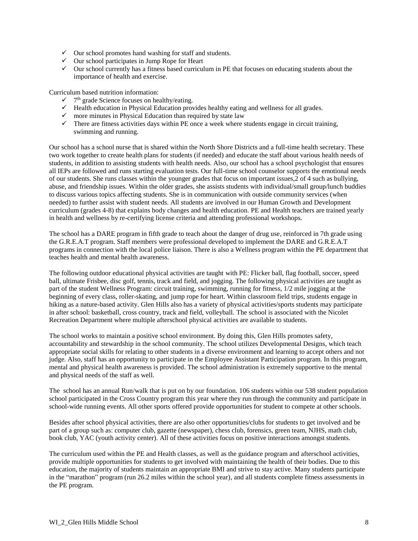- $\checkmark$  Our school promotes hand washing for staff and students.
- $\checkmark$  Our school participates in Jump Rope for Heart
- $\checkmark$  Our school currently has a fitness based curriculum in PE that focuses on educating students about the importance of health and exercise.

Curriculum based nutrition information:

- $\checkmark$  7<sup>th</sup> grade Science focuses on healthy/eating.
- $\checkmark$  Health education in Physical Education provides healthy eating and wellness for all grades.
- $\checkmark$  more minutes in Physical Education than required by state law
- $\checkmark$  There are fitness activities days within PE once a week where students engage in circuit training, swimming and running.

Our school has a school nurse that is shared within the North Shore Districts and a full-time health secretary. These two work together to create health plans for students (if needed) and educate the staff about various health needs of students, in addition to assisting students with health needs. Also, our school has a school psychologist that ensures all IEPs are followed and runs starting evaluation tests. Our full-time school counselor supports the emotional needs of our students. She runs classes within the younger grades that focus on important issues,2 of 4 such as bullying, abuse, and friendship issues. Within the older grades, she assists students with individual/small group/lunch buddies to discuss various topics affecting students. She is in communication with outside community services (when needed) to further assist with student needs. All students are involved in our Human Growth and Development curriculum (grades 4-8) that explains body changes and health education. PE and Health teachers are trained yearly in health and wellness by re-certifying license criteria and attending professional workshops.

The school has a DARE program in fifth grade to teach about the danger of drug use, reinforced in 7th grade using the G.R.E.A.T program. Staff members were professional developed to implement the DARE and G.R.E.A.T programs in connection with the local police liaison. There is also a Wellness program within the PE department that teaches health and mental health awareness.

The following outdoor educational physical activities are taught with PE: Flicker ball, flag football, soccer, speed ball, ultimate Frisbee, disc golf, tennis, track and field, and jogging. The following physical activities are taught as part of the student Wellness Program: circuit training, swimming, running for fitness, 1/2 mile jogging at the beginning of every class, roller-skating, and jump rope for heart. Within classroom field trips, students engage in hiking as a nature-based activity. Glen Hills also has a variety of physical activities/sports students may participate in after school: basketball, cross country, track and field, volleyball. The school is associated with the Nicolet Recreation Department where multiple afterschool physical activities are available to students.

The school works to maintain a positive school environment. By doing this, Glen Hills promotes safety, accountability and stewardship in the school community. The school utilizes Developmental Designs, which teach appropriate social skills for relating to other students in a diverse environment and learning to accept others and not judge. Also, staff has an opportunity to participate in the Employee Assistant Participation program. In this program, mental and physical health awareness is provided. The school administration is extremely supportive to the mental and physical needs of the staff as well.

The school has an annual Run/walk that is put on by our foundation. 106 students within our 538 student population school participated in the Cross Country program this year where they run through the community and participate in school-wide running events. All other sports offered provide opportunities for student to compete at other schools.

Besides after school physical activities, there are also other opportunities/clubs for students to get involved and be part of a group such as: computer club, gazette (newspaper), chess club, forensics, green team, NJHS, math club, book club, YAC (youth activity center). All of these activities focus on positive interactions amongst students.

The curriculum used within the PE and Health classes, as well as the guidance program and afterschool activities, provide multiple opportunities for students to get involved with maintaining the health of their bodies. Due to this education, the majority of students maintain an appropriate BMI and strive to stay active. Many students participate in the "marathon" program (run 26.2 miles within the school year), and all students complete fitness assessments in the PE program.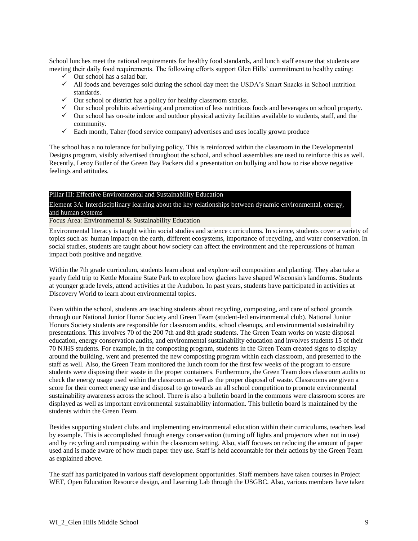School lunches meet the national requirements for healthy food standards, and lunch staff ensure that students are meeting their daily food requirements. The following efforts support Glen Hills' commitment to healthy eating:

- $\checkmark$  Our school has a salad bar.
- $\checkmark$  All foods and beverages sold during the school day meet the USDA's Smart Snacks in School nutrition standards.
- $\checkmark$  Our school or district has a policy for healthy classroom snacks.
- $\checkmark$  Our school prohibits advertising and promotion of less nutritious foods and beverages on school property.
- $\checkmark$  Our school has on-site indoor and outdoor physical activity facilities available to students, staff, and the community.
- $\checkmark$  Each month, Taher (food service company) advertises and uses locally grown produce

The school has a no tolerance for bullying policy. This is reinforced within the classroom in the Developmental Designs program, visibly advertised throughout the school, and school assemblies are used to reinforce this as well. Recently, Leroy Butler of the Green Bay Packers did a presentation on bullying and how to rise above negative feelings and attitudes.

#### Pillar III: Effective Environmental and Sustainability Education

Element 3A: Interdisciplinary learning about the key relationships between dynamic environmental, energy, and human systems

## Focus Area: Environmental & Sustainability Education

Environmental literacy is taught within social studies and science curriculums. In science, students cover a variety of topics such as: human impact on the earth, different ecosystems, importance of recycling, and water conservation. In social studies, students are taught about how society can affect the environment and the repercussions of human impact both positive and negative.

Within the 7th grade curriculum, students learn about and explore soil composition and planting. They also take a yearly field trip to Kettle Moraine State Park to explore how glaciers have shaped Wisconsin's landforms. Students at younger grade levels, attend activities at the Audubon. In past years, students have participated in activities at Discovery World to learn about environmental topics.

Even within the school, students are teaching students about recycling, composting, and care of school grounds through our National Junior Honor Society and Green Team (student-led environmental club). National Junior Honors Society students are responsible for classroom audits, school cleanups, and environmental sustainability presentations. This involves 70 of the 200 7th and 8th grade students. The Green Team works on waste disposal education, energy conservation audits, and environmental sustainability education and involves students 15 of their 70 NJHS students. For example, in the composting program, students in the Green Team created signs to display around the building, went and presented the new composting program within each classroom, and presented to the staff as well. Also, the Green Team monitored the lunch room for the first few weeks of the program to ensure students were disposing their waste in the proper containers. Furthermore, the Green Team does classroom audits to check the energy usage used within the classroom as well as the proper disposal of waste. Classrooms are given a score for their correct energy use and disposal to go towards an all school competition to promote environmental sustainability awareness across the school. There is also a bulletin board in the commons were classroom scores are displayed as well as important environmental sustainability information. This bulletin board is maintained by the students within the Green Team.

Besides supporting student clubs and implementing environmental education within their curriculums, teachers lead by example. This is accomplished through energy conservation (turning off lights and projectors when not in use) and by recycling and composting within the classroom setting. Also, staff focuses on reducing the amount of paper used and is made aware of how much paper they use. Staff is held accountable for their actions by the Green Team as explained above.

The staff has participated in various staff development opportunities. Staff members have taken courses in Project WET, Open Education Resource design, and Learning Lab through the USGBC. Also, various members have taken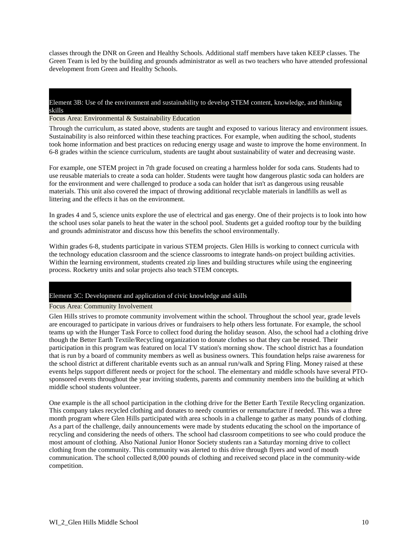classes through the DNR on Green and Healthy Schools. Additional staff members have taken KEEP classes. The Green Team is led by the building and grounds administrator as well as two teachers who have attended professional development from Green and Healthy Schools.

#### Element 3B: Use of the environment and sustainability to develop STEM content, knowledge, and thinking skills

#### Focus Area: Environmental & Sustainability Education

Through the curriculum, as stated above, students are taught and exposed to various literacy and environment issues. Sustainability is also reinforced within these teaching practices. For example, when auditing the school, students took home information and best practices on reducing energy usage and waste to improve the home environment. In 6-8 grades within the science curriculum, students are taught about sustainability of water and decreasing waste.

For example, one STEM project in 7th grade focused on creating a harmless holder for soda cans. Students had to use reusable materials to create a soda can holder. Students were taught how dangerous plastic soda can holders are for the environment and were challenged to produce a soda can holder that isn't as dangerous using reusable materials. This unit also covered the impact of throwing additional recyclable materials in landfills as well as littering and the effects it has on the environment.

In grades 4 and 5, science units explore the use of electrical and gas energy. One of their projects is to look into how the school uses solar panels to heat the water in the school pool. Students get a guided rooftop tour by the building and grounds administrator and discuss how this benefits the school environmentally.

Within grades 6-8, students participate in various STEM projects. Glen Hills is working to connect curricula with the technology education classroom and the science classrooms to integrate hands-on project building activities. Within the learning environment, students created zip lines and building structures while using the engineering process. Rocketry units and solar projects also teach STEM concepts.

#### Element 3C: Development and application of civic knowledge and skills

#### Focus Area: Community Involvement

Glen Hills strives to promote community involvement within the school. Throughout the school year, grade levels are encouraged to participate in various drives or fundraisers to help others less fortunate. For example, the school teams up with the Hunger Task Force to collect food during the holiday season. Also, the school had a clothing drive though the Better Earth Textile/Recycling organization to donate clothes so that they can be reused. Their participation in this program was featured on local TV station's morning show. The school district has a foundation that is run by a board of community members as well as business owners. This foundation helps raise awareness for the school district at different charitable events such as an annual run/walk and Spring Fling. Money raised at these events helps support different needs or project for the school. The elementary and middle schools have several PTOsponsored events throughout the year inviting students, parents and community members into the building at which middle school students volunteer.

One example is the all school participation in the clothing drive for the Better Earth Textile Recycling organization. This company takes recycled clothing and donates to needy countries or remanufacture if needed. This was a three month program where Glen Hills participated with area schools in a challenge to gather as many pounds of clothing. As a part of the challenge, daily announcements were made by students educating the school on the importance of recycling and considering the needs of others. The school had classroom competitions to see who could produce the most amount of clothing. Also National Junior Honor Society students ran a Saturday morning drive to collect clothing from the community. This community was alerted to this drive through flyers and word of mouth communication. The school collected 8,000 pounds of clothing and received second place in the community-wide competition.